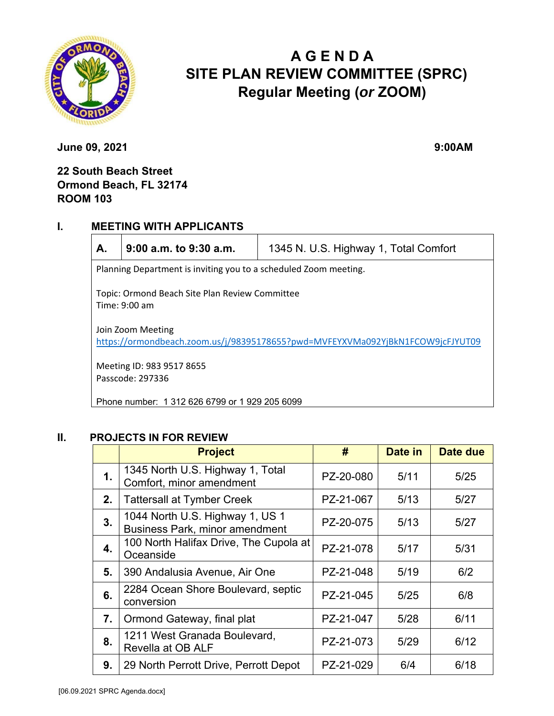

# **A G E N D A SITE PLAN REVIEW COMMITTEE (SPRC) Regular Meeting (***or* **ZOOM)**

**June 09, 2021** 9:00AM

# **22 South Beach Street Ormond Beach, FL 32174 ROOM 103**

### **I. MEETING WITH APPLICANTS**

|--|

**A. 9:00 a.m. to 9:30 a.m.** 1345 N. U.S. Highway 1, Total Comfort

Planning Department is inviting you to a scheduled Zoom meeting.

Topic: Ormond Beach Site Plan Review Committee Time: 9:00 am

Join Zoom Meeting https://ormondbeach.zoom.us/j/98395178655?pwd=MVFEYXVMa092YjBkN1FCOW9jcFJYUT09

Meeting ID: 983 9517 8655 Passcode: 297336

Phone number: 1 312 626 6799 or 1 929 205 6099

### **II. PROJECTS IN FOR REVIEW**

|                | <b>Project</b>                                                           | #         | Date in | Date due |
|----------------|--------------------------------------------------------------------------|-----------|---------|----------|
| 1.             | 1345 North U.S. Highway 1, Total<br>Comfort, minor amendment             | PZ-20-080 | 5/11    | $5/25$   |
| 2.             | <b>Tattersall at Tymber Creek</b>                                        | PZ-21-067 | 5/13    | 5/27     |
| 3 <sub>1</sub> | 1044 North U.S. Highway 1, US 1<br><b>Business Park, minor amendment</b> | PZ-20-075 | 5/13    | 5/27     |
| 4.             | 100 North Halifax Drive, The Cupola at<br>Oceanside                      | PZ-21-078 | 5/17    | 5/31     |
| 5.             | 390 Andalusia Avenue, Air One                                            | PZ-21-048 | 5/19    | 6/2      |
| 6.             | 2284 Ocean Shore Boulevard, septic<br>conversion                         | PZ-21-045 | 5/25    | 6/8      |
| 7.             | Ormond Gateway, final plat                                               | PZ-21-047 | 5/28    | 6/11     |
| 8.             | 1211 West Granada Boulevard,<br>Revella at OB ALF                        | PZ-21-073 | 5/29    | 6/12     |
| 9.             | 29 North Perrott Drive, Perrott Depot                                    | PZ-21-029 | 6/4     | 6/18     |